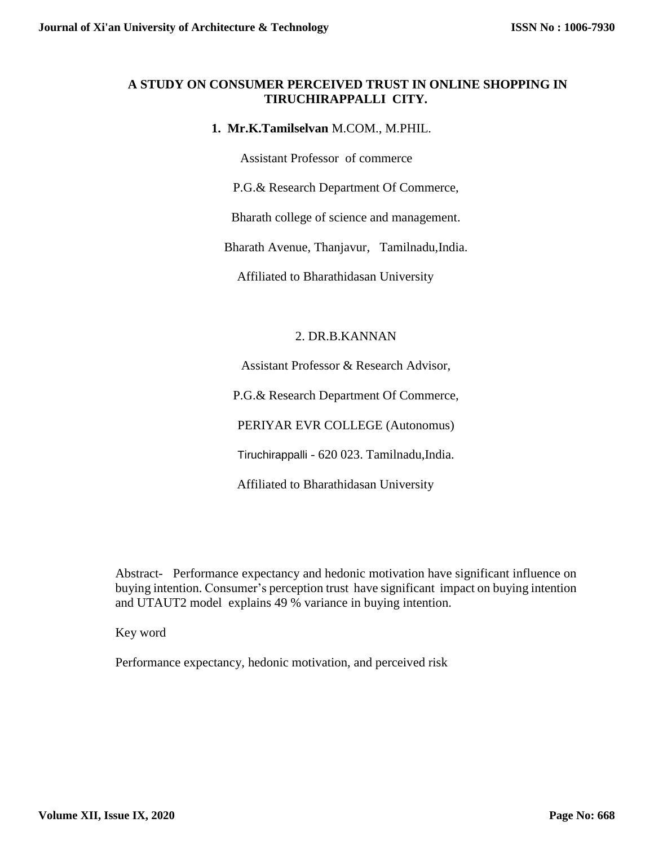# **A STUDY ON CONSUMER PERCEIVED TRUST IN ONLINE SHOPPING IN TIRUCHIRAPPALLI CITY.**

# **1. Mr.K.Tamilselvan** M.COM., M.PHIL.

Assistant Professor of commerce

P.G.& Research Department Of Commerce,

Bharath college of science and management.

Bharath Avenue, Thanjavur, Tamilnadu,India.

Affiliated to Bharathidasan University

# 2. DR.B.KANNAN

Assistant Professor & Research Advisor,

P.G.& Research Department Of Commerce,

PERIYAR EVR COLLEGE (Autonomus)

Tiruchirappalli - 620 023. Tamilnadu,India.

Affiliated to Bharathidasan University

Abstract- Performance expectancy and hedonic motivation have significant influence on buying intention. Consumer's perception trust have significant impact on buying intention and UTAUT2 model explains 49 % variance in buying intention.

Key word

Performance expectancy, hedonic motivation, and perceived risk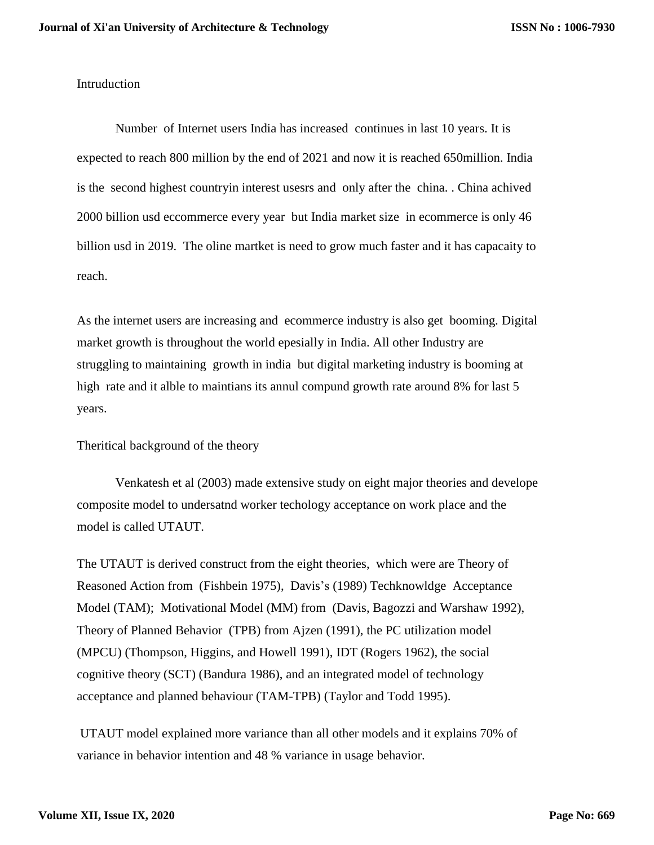Intruduction

Number of Internet users India has increased continues in last 10 years. It is expected to reach 800 million by the end of 2021 and now it is reached 650million. India is the second highest countryin interest usesrs and only after the china. . China achived 2000 billion usd eccommerce every year but India market size in ecommerce is only 46 billion usd in 2019. The oline martket is need to grow much faster and it has capacaity to reach.

As the internet users are increasing and ecommerce industry is also get booming. Digital market growth is throughout the world epesially in India. All other Industry are struggling to maintaining growth in india but digital marketing industry is booming at high rate and it alble to maintians its annul compund growth rate around 8% for last 5 years.

Theritical background of the theory

Venkatesh et al (2003) made extensive study on eight major theories and develope composite model to undersatnd worker techology acceptance on work place and the model is called UTAUT.

The UTAUT is derived construct from the eight theories, which were are Theory of Reasoned Action from (Fishbein 1975), Davis's (1989) Techknowldge Acceptance Model (TAM); Motivational Model (MM) from (Davis, Bagozzi and Warshaw 1992), Theory of Planned Behavior (TPB) from Ajzen (1991), the PC utilization model (MPCU) (Thompson, Higgins, and Howell 1991), IDT (Rogers 1962), the social cognitive theory (SCT) (Bandura 1986), and an integrated model of technology acceptance and planned behaviour (TAM-TPB) (Taylor and Todd 1995).

UTAUT model explained more variance than all other models and it explains 70% of variance in behavior intention and 48 % variance in usage behavior.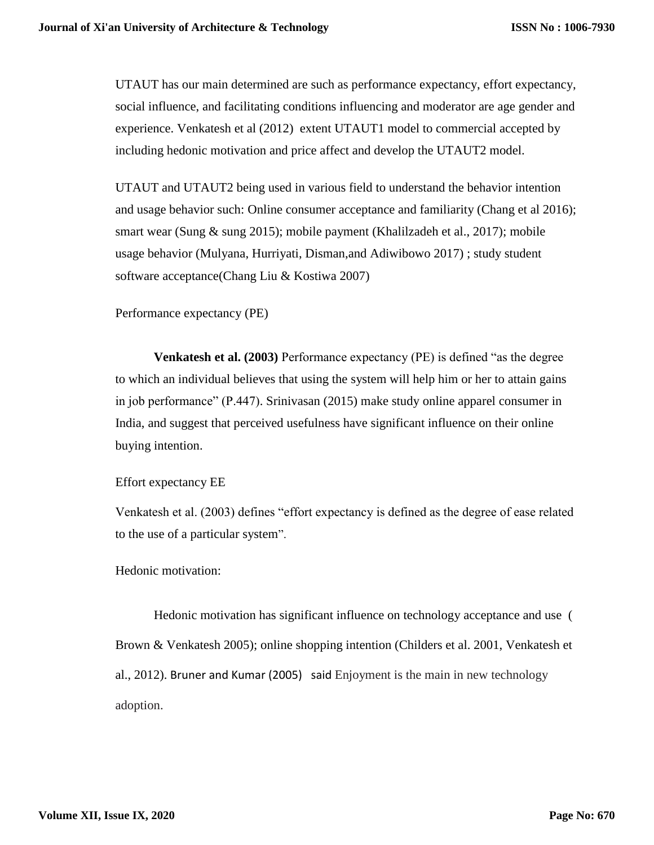UTAUT has our main determined are such as performance expectancy, effort expectancy, social influence, and facilitating conditions influencing and moderator are age gender and experience. Venkatesh et al (2012) extent UTAUT1 model to commercial accepted by including hedonic motivation and price affect and develop the UTAUT2 model.

UTAUT and UTAUT2 being used in various field to understand the behavior intention and usage behavior such: Online consumer acceptance and familiarity (Chang et al 2016); smart wear (Sung & sung 2015); mobile payment (Khalilzadeh et al., 2017); mobile usage behavior (Mulyana, Hurriyati, Disman,and Adiwibowo 2017) ; study student software acceptance(Chang Liu & Kostiwa 2007)

Performance expectancy (PE)

**Venkatesh et al. (2003)** Performance expectancy (PE) is defined "as the degree to which an individual believes that using the system will help him or her to attain gains in job performance" (P.447). Srinivasan (2015) make study online apparel consumer in India, and suggest that perceived usefulness have significant influence on their online buying intention.

Effort expectancy EE

Venkatesh et al. (2003) defines "effort expectancy is defined as the degree of ease related to the use of a particular system".

Hedonic motivation:

Hedonic motivation has significant influence on technology acceptance and use ( Brown & Venkatesh 2005); online shopping intention (Childers et al. 2001, Venkatesh et al., 2012). Bruner and Kumar (2005) said Enjoyment is the main in new technology adoption.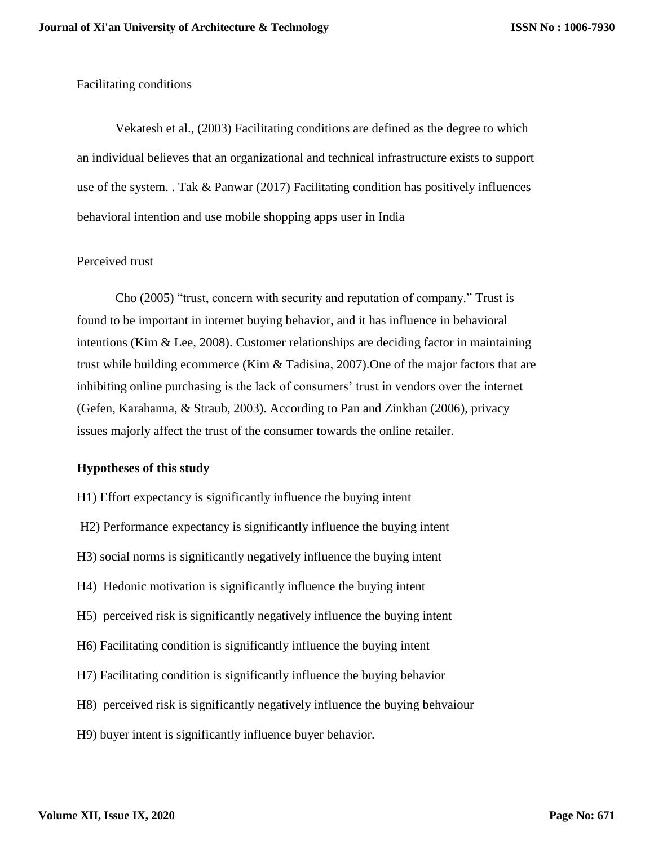### Facilitating conditions

Vekatesh et al., (2003) Facilitating conditions are defined as the degree to which an individual believes that an organizational and technical infrastructure exists to support use of the system. . Tak & Panwar (2017) Facilitating condition has positively influences behavioral intention and use mobile shopping apps user in India

### Perceived trust

Cho (2005) "trust, concern with security and reputation of company." Trust is found to be important in internet buying behavior, and it has influence in behavioral intentions (Kim & Lee, 2008). Customer relationships are deciding factor in maintaining trust while building ecommerce (Kim & Tadisina, 2007).One of the major factors that are inhibiting online purchasing is the lack of consumers' trust in vendors over the internet (Gefen, Karahanna, & Straub, 2003). According to Pan and Zinkhan (2006), privacy issues majorly affect the trust of the consumer towards the online retailer.

## **Hypotheses of this study**

H1) Effort expectancy is significantly influence the buying intent H2) Performance expectancy is significantly influence the buying intent H3) social norms is significantly negatively influence the buying intent H4) Hedonic motivation is significantly influence the buying intent H5) perceived risk is significantly negatively influence the buying intent H6) Facilitating condition is significantly influence the buying intent H7) Facilitating condition is significantly influence the buying behavior H8) perceived risk is significantly negatively influence the buying behvaiour H9) buyer intent is significantly influence buyer behavior.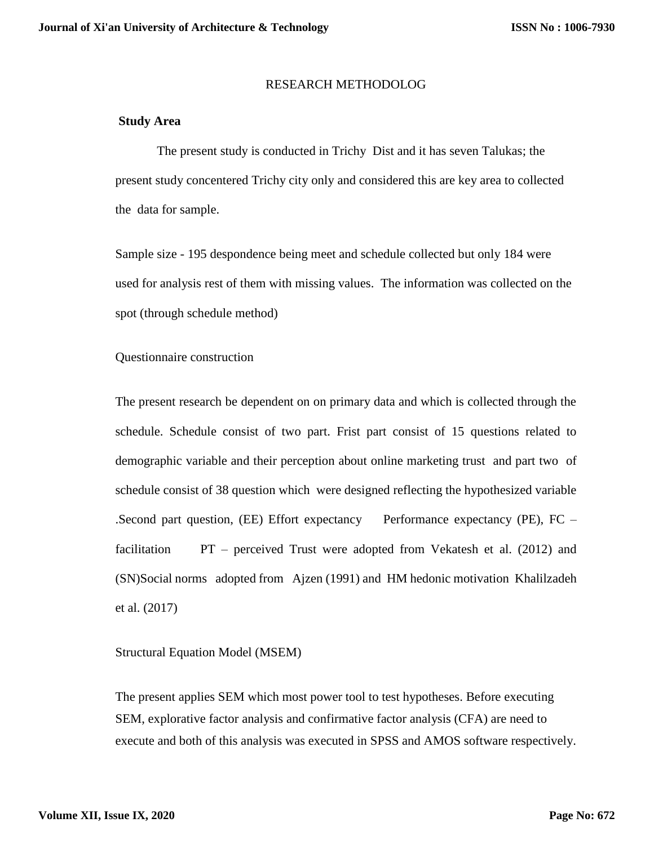#### RESEARCH METHODOLOG

#### **Study Area**

 The present study is conducted in Trichy Dist and it has seven Talukas; the present study concentered Trichy city only and considered this are key area to collected the data for sample.

Sample size - 195 despondence being meet and schedule collected but only 184 were used for analysis rest of them with missing values. The information was collected on the spot (through schedule method)

Questionnaire construction

The present research be dependent on on primary data and which is collected through the schedule. Schedule consist of two part. Frist part consist of 15 questions related to demographic variable and their perception about online marketing trust and part two of schedule consist of 38 question which were designed reflecting the hypothesized variable .Second part question, (EE) Effort expectancy Performance expectancy (PE), FC – facilitation PT – perceived Trust were adopted from Vekatesh et al. (2012) and (SN)Social norms adopted from Ajzen (1991) and HM hedonic motivation Khalilzadeh et al. (2017)

Structural Equation Model (MSEM)

The present applies SEM which most power tool to test hypotheses. Before executing SEM, explorative factor analysis and confirmative factor analysis (CFA) are need to execute and both of this analysis was executed in SPSS and AMOS software respectively.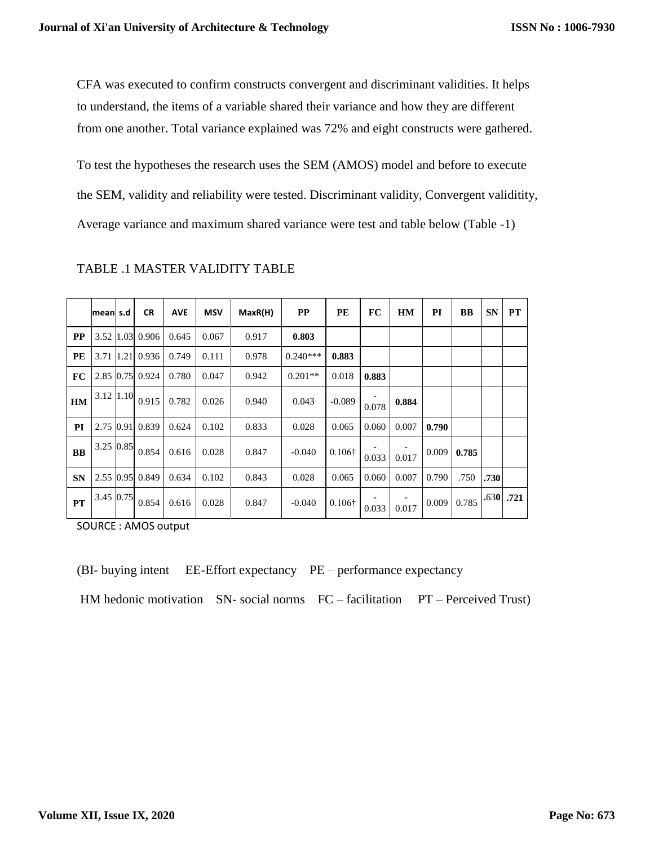CFA was executed to confirm constructs convergent and discriminant validities. It helps to understand, the items of a variable shared their variance and how they are different from one another. Total variance explained was 72% and eight constructs were gathered.

To test the hypotheses the research uses the SEM (AMOS) model and before to execute the SEM, validity and reliability were tested. Discriminant validity, Convergent validitity, Average variance and maximum shared variance were test and table below (Table -1)

|           | meanl s.d   | <b>CR</b>       | <b>AVE</b> | <b>MSV</b> | MaxR(H) | <b>PP</b>  | PE             | FC    | <b>HM</b> | PI    | <b>BB</b> | <b>SN</b> | <b>PT</b>   |
|-----------|-------------|-----------------|------------|------------|---------|------------|----------------|-------|-----------|-------|-----------|-----------|-------------|
| <b>PP</b> | 3.52 1.03   | 0.906           | 0.645      | 0.067      | 0.917   | 0.803      |                |       |           |       |           |           |             |
| PE        | 3.71 1.21   | 0.936           | 0.749      | 0.111      | 0.978   | $0.240***$ | 0.883          |       |           |       |           |           |             |
| FC        |             | 2.85 0.75 0.924 | 0.780      | 0.047      | 0.942   | $0.201**$  | 0.018          | 0.883 |           |       |           |           |             |
| <b>HM</b> | 3.12   1.10 | 0.915           | 0.782      | 0.026      | 0.940   | 0.043      | $-0.089$       | 0.078 | 0.884     |       |           |           |             |
| PI        | 2.75 0.91   | 0.839           | 0.624      | 0.102      | 0.833   | 0.028      | 0.065          | 0.060 | 0.007     | 0.790 |           |           |             |
| <b>BB</b> | 3.25 0.85   | 0.854           | 0.616      | 0.028      | 0.847   | $-0.040$   | $0.106\dagger$ | 0.033 | 0.017     | 0.009 | 0.785     |           |             |
| <b>SN</b> | 2.55 0.95   | 0.849           | 0.634      | 0.102      | 0.843   | 0.028      | 0.065          | 0.060 | 0.007     | 0.790 | .750      | .730      |             |
| <b>PT</b> | 3.45 0.75   | 0.854           | 0.616      | 0.028      | 0.847   | $-0.040$   | $0.106\dagger$ | 0.033 | 0.017     | 0.009 | 0.785     |           | $.630$ .721 |

TABLE .1 MASTER VALIDITY TABLE

SOURCE : AMOS output

(BI- buying intent EE-Effort expectancy PE – performance expectancy

HM hedonic motivation SN- social norms FC – facilitation PT – Perceived Trust)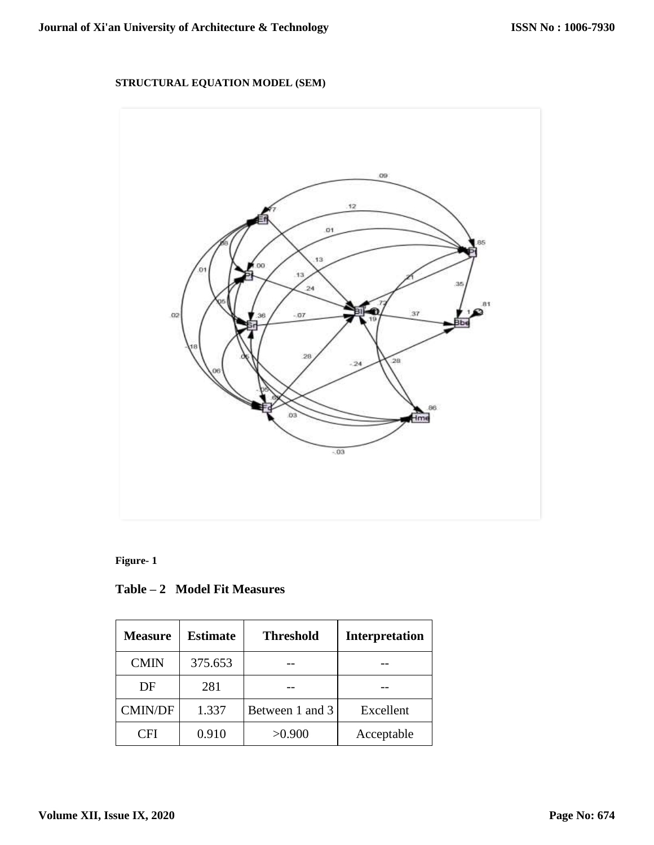# **STRUCTURAL EQUATION MODEL (SEM)**



# **Figure- 1**

| Table – 2 Model Fit Measures |
|------------------------------|
|------------------------------|

| <b>Measure</b> | <b>Estimate</b> | <b>Threshold</b> | <b>Interpretation</b> |
|----------------|-----------------|------------------|-----------------------|
| <b>CMIN</b>    | 375.653         |                  |                       |
| DF             | 281             |                  |                       |
| <b>CMIN/DF</b> | 1.337           | Between 1 and 3  | Excellent             |
| CFI            | 0.910           | >0.900           | Acceptable            |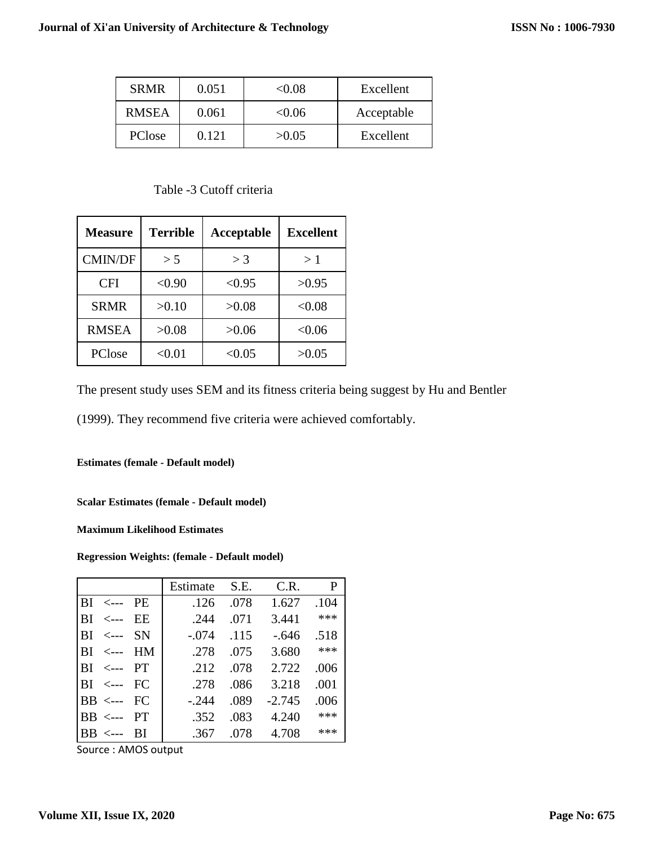| <b>SRMR</b>  | 0.051 | $< \!\! 0.08$ | Excellent  |
|--------------|-------|---------------|------------|
| <b>RMSEA</b> | 0.061 | $< \!\! 0.06$ | Acceptable |
| PClose       | 0.121 | >0.05         | Excellent  |

### Table -3 Cutoff criteria

| <b>Measure</b> | <b>Terrible</b> | Acceptable | Excellent |  |
|----------------|-----------------|------------|-----------|--|
| <b>CMIN/DF</b> | > 5             | $>$ 3      | >1        |  |
| <b>CFI</b>     | < 0.90          | < 0.95     | >0.95     |  |
| <b>SRMR</b>    | >0.10           | >0.08      | < 0.08    |  |
| <b>RMSEA</b>   | >0.08           | >0.06      | < 0.06    |  |
| PClose         | < 0.01          | < 0.05     | >0.05     |  |

The present study uses SEM and its fitness criteria being suggest by Hu and Bentler

(1999). They recommend five criteria were achieved comfortably.

**Estimates (female - Default model)**

**Scalar Estimates (female - Default model)**

**Maximum Likelihood Estimates**

#### **Regression Weights: (female - Default model)**

|                                                  | Estimate | S.E. | C.R.     | P    |
|--------------------------------------------------|----------|------|----------|------|
| $\overline{\text{BI}}$ $\leftarrow$<br><b>PE</b> | .126     | .078 | 1.627    | .104 |
| EE<br>ВI<br>$\lt -$ --                           | .244     | .071 | 3.441    | ***  |
| <b>SN</b><br>$\leftarrow$ $\leftarrow$<br>ВI     | $-.074$  | .115 | $-.646$  | .518 |
| HM<br>$\leftarrow$ $\leftarrow$<br>RІ            | .278     | .075 | 3.680    | ***  |
| <--- PT<br>ВL                                    | .212     | .078 | 2.722    | .006 |
| $\overline{\text{BI}}$ $\leftarrow$<br>FC        | .278     | .086 | 3.218    | .001 |
| $\overline{\text{BB}} \leftarrow \text{FC}$      | $-.244$  | .089 | $-2.745$ | .006 |
| <b>PT</b><br>RR.<br>$\lt -$ ---                  | .352     | .083 | 4.240    | ***  |
| <b>RR</b><br><sup>BI</sup><br>$\lt -$ --         | .367     | .078 | 4.708    | ***  |

Source : AMOS output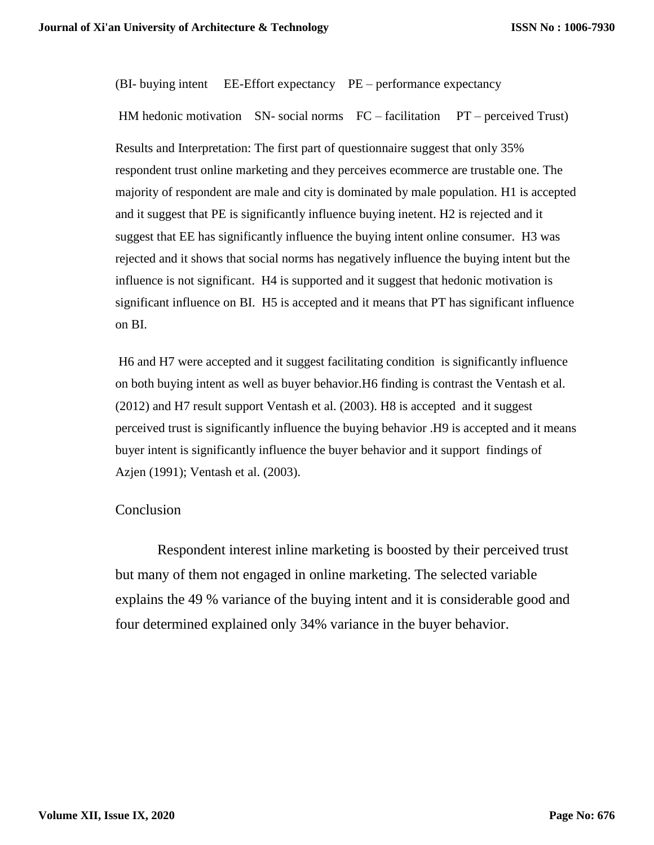(BI- buying intent EE-Effort expectancy PE – performance expectancy

HM hedonic motivation  $SN$ - social norms  $FC$  – facilitation  $PT$  – perceived Trust) Results and Interpretation: The first part of questionnaire suggest that only 35% respondent trust online marketing and they perceives ecommerce are trustable one. The majority of respondent are male and city is dominated by male population. H1 is accepted and it suggest that PE is significantly influence buying inetent. H2 is rejected and it suggest that EE has significantly influence the buying intent online consumer. H3 was rejected and it shows that social norms has negatively influence the buying intent but the influence is not significant. H4 is supported and it suggest that hedonic motivation is significant influence on BI. H5 is accepted and it means that PT has significant influence on BI.

H6 and H7 were accepted and it suggest facilitating condition is significantly influence on both buying intent as well as buyer behavior.H6 finding is contrast the Ventash et al. (2012) and H7 result support Ventash et al. (2003). H8 is accepted and it suggest perceived trust is significantly influence the buying behavior .H9 is accepted and it means buyer intent is significantly influence the buyer behavior and it support findings of Azjen (1991); Ventash et al. (2003).

## Conclusion

Respondent interest inline marketing is boosted by their perceived trust but many of them not engaged in online marketing. The selected variable explains the 49 % variance of the buying intent and it is considerable good and four determined explained only 34% variance in the buyer behavior.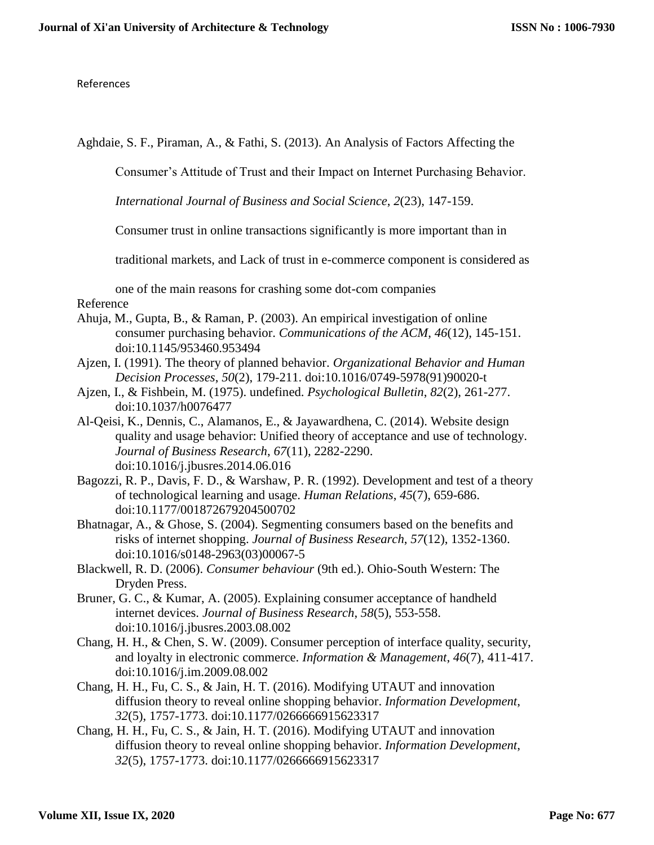References

Aghdaie, S. F., Piraman, A., & Fathi, S. (2013). An Analysis of Factors Affecting the

Consumer's Attitude of Trust and their Impact on Internet Purchasing Behavior.

*International Journal of Business and Social Science*, *2*(23), 147-159.

Consumer trust in online transactions significantly is more important than in

traditional markets, and Lack of trust in e-commerce component is considered as

one of the main reasons for crashing some dot-com companies Reference

- Ahuja, M., Gupta, B., & Raman, P. (2003). An empirical investigation of online consumer purchasing behavior. *Communications of the ACM*, *46*(12), 145-151. doi:10.1145/953460.953494
- Ajzen, I. (1991). The theory of planned behavior. *Organizational Behavior and Human Decision Processes*, *50*(2), 179-211. doi:10.1016/0749-5978(91)90020-t
- Ajzen, I., & Fishbein, M. (1975). undefined. *Psychological Bulletin*, *82*(2), 261-277. doi:10.1037/h0076477
- Al-Qeisi, K., Dennis, C., Alamanos, E., & Jayawardhena, C. (2014). Website design quality and usage behavior: Unified theory of acceptance and use of technology. *Journal of Business Research*, *67*(11), 2282-2290. doi:10.1016/j.jbusres.2014.06.016
- Bagozzi, R. P., Davis, F. D., & Warshaw, P. R. (1992). Development and test of a theory of technological learning and usage. *Human Relations*, *45*(7), 659-686. doi:10.1177/001872679204500702
- Bhatnagar, A., & Ghose, S. (2004). Segmenting consumers based on the benefits and risks of internet shopping. *Journal of Business Research*, *57*(12), 1352-1360. doi:10.1016/s0148-2963(03)00067-5
- Blackwell, R. D. (2006). *Consumer behaviour* (9th ed.). Ohio-South Western: The Dryden Press.
- Bruner, G. C., & Kumar, A. (2005). Explaining consumer acceptance of handheld internet devices. *Journal of Business Research*, *58*(5), 553-558. doi:10.1016/j.jbusres.2003.08.002
- Chang, H. H., & Chen, S. W. (2009). Consumer perception of interface quality, security, and loyalty in electronic commerce. *Information & Management*, *46*(7), 411-417. doi:10.1016/j.im.2009.08.002
- Chang, H. H., Fu, C. S., & Jain, H. T. (2016). Modifying UTAUT and innovation diffusion theory to reveal online shopping behavior. *Information Development*, *32*(5), 1757-1773. doi:10.1177/0266666915623317
- Chang, H. H., Fu, C. S., & Jain, H. T. (2016). Modifying UTAUT and innovation diffusion theory to reveal online shopping behavior. *Information Development*, *32*(5), 1757-1773. doi:10.1177/0266666915623317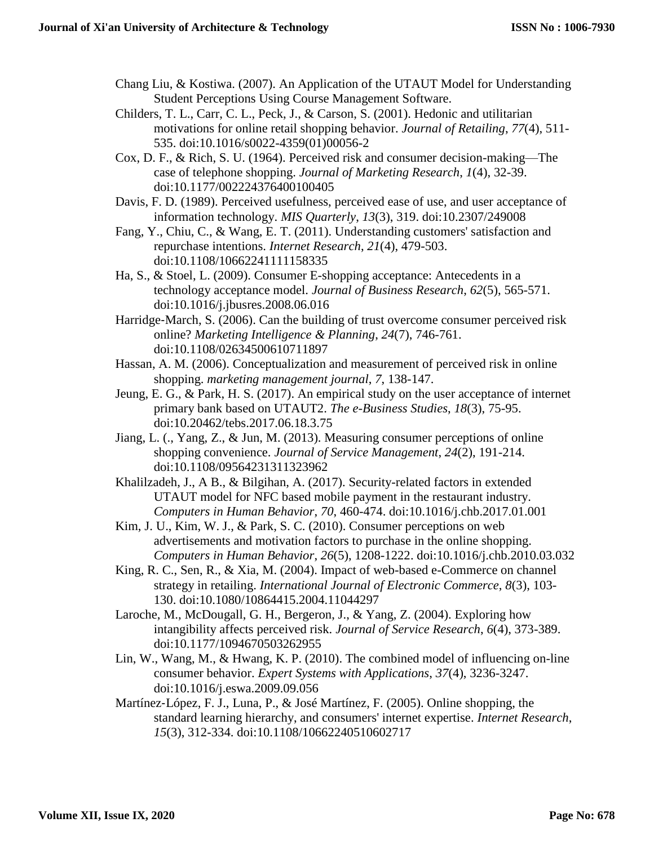- Chang Liu, & Kostiwa. (2007). An Application of the UTAUT Model for Understanding Student Perceptions Using Course Management Software.
- Childers, T. L., Carr, C. L., Peck, J., & Carson, S. (2001). Hedonic and utilitarian motivations for online retail shopping behavior. *Journal of Retailing*, *77*(4), 511- 535. doi:10.1016/s0022-4359(01)00056-2
- Cox, D. F., & Rich, S. U. (1964). Perceived risk and consumer decision-making—The case of telephone shopping. *Journal of Marketing Research*, *1*(4), 32-39. doi:10.1177/002224376400100405
- Davis, F. D. (1989). Perceived usefulness, perceived ease of use, and user acceptance of information technology. *MIS Quarterly*, *13*(3), 319. doi:10.2307/249008
- Fang, Y., Chiu, C., & Wang, E. T. (2011). Understanding customers' satisfaction and repurchase intentions. *Internet Research*, *21*(4), 479-503. doi:10.1108/10662241111158335
- Ha, S., & Stoel, L. (2009). Consumer E-shopping acceptance: Antecedents in a technology acceptance model. *Journal of Business Research*, *62*(5), 565-571. doi:10.1016/j.jbusres.2008.06.016
- Harridge-March, S. (2006). Can the building of trust overcome consumer perceived risk online? *Marketing Intelligence & Planning*, *24*(7), 746-761. doi:10.1108/02634500610711897
- Hassan, A. M. (2006). Conceptualization and measurement of perceived risk in online shopping. *marketing management journal*, *7*, 138-147.
- Jeung, E. G., & Park, H. S. (2017). An empirical study on the user acceptance of internet primary bank based on UTAUT2. *The e-Business Studies*, *18*(3), 75-95. doi:10.20462/tebs.2017.06.18.3.75
- Jiang, L. (., Yang, Z., & Jun, M. (2013). Measuring consumer perceptions of online shopping convenience. *Journal of Service Management*, *24*(2), 191-214. doi:10.1108/09564231311323962
- Khalilzadeh, J., A B., & Bilgihan, A. (2017). Security-related factors in extended UTAUT model for NFC based mobile payment in the restaurant industry. *Computers in Human Behavior*, *70*, 460-474. doi:10.1016/j.chb.2017.01.001
- Kim, J. U., Kim, W. J., & Park, S. C. (2010). Consumer perceptions on web advertisements and motivation factors to purchase in the online shopping. *Computers in Human Behavior*, *26*(5), 1208-1222. doi:10.1016/j.chb.2010.03.032
- King, R. C., Sen, R., & Xia, M. (2004). Impact of web-based e-Commerce on channel strategy in retailing. *International Journal of Electronic Commerce*, *8*(3), 103- 130. doi:10.1080/10864415.2004.11044297
- Laroche, M., McDougall, G. H., Bergeron, J., & Yang, Z. (2004). Exploring how intangibility affects perceived risk. *Journal of Service Research*, *6*(4), 373-389. doi:10.1177/1094670503262955
- Lin, W., Wang, M., & Hwang, K. P. (2010). The combined model of influencing on-line consumer behavior. *Expert Systems with Applications*, *37*(4), 3236-3247. doi:10.1016/j.eswa.2009.09.056
- Martínez‐López, F. J., Luna, P., & José Martínez, F. (2005). Online shopping, the standard learning hierarchy, and consumers' internet expertise. *Internet Research*, *15*(3), 312-334. doi:10.1108/10662240510602717